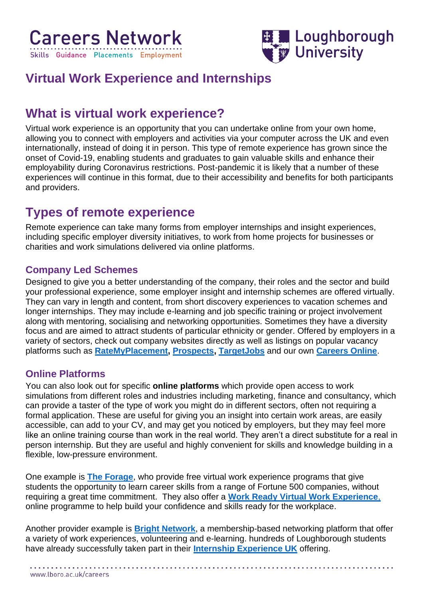



# **Virtual Work Experience and Internships**

## **What is virtual work experience?**

Virtual work experience is an opportunity that you can undertake online from your own home, allowing you to connect with employers and activities via your computer across the UK and even internationally, instead of doing it in person. This type of remote experience has grown since the onset of Covid-19, enabling students and graduates to gain valuable skills and enhance their employability during Coronavirus restrictions. Post-pandemic it is likely that a number of these experiences will continue in this format, due to their accessibility and benefits for both participants and providers.

# **Types of remote experience**

Remote experience can take many forms from employer internships and insight experiences, including specific employer diversity initiatives, to work from home projects for businesses or charities and work simulations delivered via online platforms.

### **Company Led Schemes**

Designed to give you a better understanding of the company, their roles and the sector and build your professional experience, some employer insight and internship schemes are offered virtually. They can vary in length and content, from short discovery experiences to vacation schemes and longer internships. They may include e-learning and job specific training or project involvement along with mentoring, socialising and networking opportunities. Sometimes they have a diversity focus and are aimed to attract students of particular ethnicity or gender. Offered by employers in a variety of sectors, check out company websites directly as well as listings on popular vacancy platforms such as **[RateMyPlacement,](https://www.ratemyplacement.co.uk/) [Prospects,](https://www.prospects.ac.uk/) [TargetJobs](https://targetjobs.co.uk/)** and our own **[Careers Online](https://lboro.targetconnect.net/student/home.html)**.

#### **Online Platforms**

You can also look out for specific **online platforms** which provide open access to work simulations from different roles and industries including marketing, finance and consultancy, which can provide a taster of the type of work you might do in different sectors, often not requiring a formal application. These are useful for giving you an insight into certain work areas, are easily accessible, can add to your CV, and may get you noticed by employers, but they may feel more like an online training course than work in the real world. They aren't a direct substitute for a real in person internship. But they are useful and highly convenient for skills and knowledge building in a flexible, low-pressure environment.

One example is **[The Forage](https://www.theforage.com/)**, who provide free virtual work experience programs that give students the opportunity to learn career skills from a range of Fortune 500 companies, without requiring a great time commitment. They also offer a **[Work Ready Virtual Work Experience](https://www.theforage.com/virtual-internships/prototype/L58Wei4AJtiBcLznf/Work%20Ready%20Virtual%20Experience?utm_source=ratemyplacement&utm_medium=referral&utm_campaign=rmp&ref=M5asbDmxYSToRyvpJ)**, online programme to help build your confidence and skills ready for the workplace.

Another provider example is **[Bright Network](https://www.brightnetwork.co.uk/internship-experience-uk/)**, a membership-based networking platform that offer a variety of work experiences, volunteering and e-learning. hundreds of Loughborough students have already successfully taken part in their **[Internship Experience UK](https://www.brightnetwork.co.uk/internship-experience-uk/)** offering.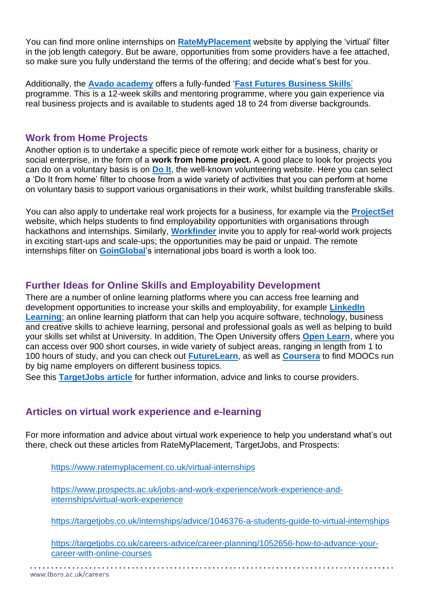You can find more online internships on **[RateMyPlacement](https://www.ratemyplacement.co.uk/)** website by applying the 'virtual' filter in the job length category. But be aware, opportunities from some providers have a fee attached, so make sure you fully understand the terms of the offering; and decide what's best for you.

Additionally, the **[Avado academy](https://www.avadolearning.com/about-us/)** offers a fully-funded '**[Fast Futures Business Skills](https://www.avadolearning.com/fastfutures/)**' programme. This is a 12-week skills and mentoring programme, where you gain experience via real business projects and is available to students aged 18 to 24 from diverse backgrounds.

#### **Work from Home Projects**

Another option is to undertake a specific piece of remote work either for a business, charity or social enterprise, in the form of a **work from home project.** A good place to look for projects you can do on a voluntary basis is on **[Do It](https://do-it.org/opportunities/search)**, the well-known volunteering website. Here you can select a 'Do It from home' filter to choose from a wide variety of activities that you can perform at home on voluntary basis to support various organisations in their work, whilst building transferable skills.

You can also apply to undertake real work projects for a business, for example via the **[ProjectSet](https://projectset.com/about)** website, which helps students to find employability opportunities with organisations through hackathons and internships. Similarly, **[Workfinder](https://www.workfinder.com/)** invite you to apply for real-world work projects in exciting start-ups and scale-ups; the opportunities may be paid or unpaid. The remote internships filter on **[GoinGlobal](https://internal.lboro.ac.uk/info/careers/students-and-graduates/careers-toolkit/online-tools/)**'s international jobs board is worth a look too.

### **Further Ideas for Online Skills and Employability Development**

There are a number of online learning platforms where you can access free learning and development opportunities to increase your skills and employability, for example **[LinkedIn](https://www.lboro.ac.uk/students/welcome/preparing-for-study/linkedin-learning/)  [Learning](https://www.lboro.ac.uk/students/welcome/preparing-for-study/linkedin-learning/)**; an online learning platform that can help you acquire software, technology, business and creative skills to achieve learning, personal and professional goals as well as helping to build your skills set whilst at University. In addition, The Open University offers **[Open Learn](https://www.open.edu/openlearn/)**, where you can access over 900 short courses, in wide variety of subject areas, ranging in length from 1 to 100 hours of study, and you can check out **[FutureLearn](https://www.futurelearn.com/)**, as well as **[Coursera](https://www.coursera.org/collections/popular-free-courses)** to find MOOCs run by big name employers on different business topics.

See this **[TargetJobs article](https://targetjobs.co.uk/careers-advice/career-planning/1052656-how-to-advance-your-career-with-online-courses)** for further information, advice and links to course providers.

#### **Articles on virtual work experience and e-learning**

For more information and advice about virtual work experience to help you understand what's out there, check out these articles from RateMyPlacement, TargetJobs, and Prospects:

<https://www.ratemyplacement.co.uk/virtual-internships>

[https://www.prospects.ac.uk/jobs-and-work-experience/work-experience-and](https://www.prospects.ac.uk/jobs-and-work-experience/work-experience-and-internships/virtual-work-experience)[internships/virtual-work-experience](https://www.prospects.ac.uk/jobs-and-work-experience/work-experience-and-internships/virtual-work-experience)

<https://targetjobs.co.uk/internships/advice/1046376-a-students-guide-to-virtual-internships>

[https://targetjobs.co.uk/careers-advice/career-planning/1052656-how-to-advance-your](https://targetjobs.co.uk/careers-advice/career-planning/1052656-how-to-advance-your-career-with-online-courses)[career-with-online-courses](https://targetjobs.co.uk/careers-advice/career-planning/1052656-how-to-advance-your-career-with-online-courses)